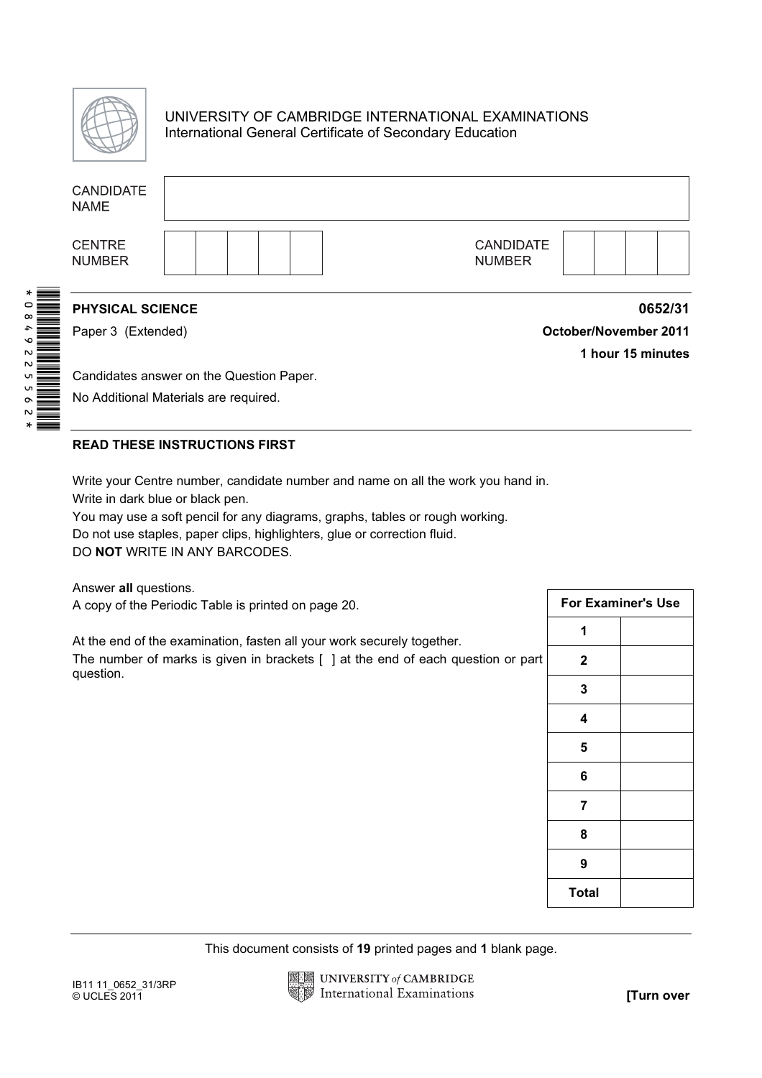

## UNIVERSITY OF CAMBRIDGE INTERNATIONAL EXAMINATIONS International General Certificate of Secondary Education

|                              | <b>CANDIDATE</b><br><b>NAME</b> |                                          |                                   |
|------------------------------|---------------------------------|------------------------------------------|-----------------------------------|
|                              | <b>CENTRE</b><br><b>NUMBER</b>  |                                          | <b>CANDIDATE</b><br><b>NUMBER</b> |
| ∘                            | PHYSICAL SCIENCE                |                                          | 0652/31                           |
| $\infty$<br>$\sim$           | Paper 3 (Extended)              |                                          | <b>October/November 2011</b>      |
| $\mathbf{v}$<br>$\mathbf{v}$ |                                 |                                          | 1 hour 15 minutes                 |
| v,                           |                                 | Candidates answer on the Question Paper. |                                   |
| v,<br>$\sim$                 |                                 | No Additional Materials are required.    |                                   |
| $\mathbf{v}$                 |                                 |                                          |                                   |

### READ THESE INSTRUCTIONS FIRST

#### Answer all questions.

| <b>PHYSICAL SCIENCE</b>                                                                                                                                  | 0652/31                      |
|----------------------------------------------------------------------------------------------------------------------------------------------------------|------------------------------|
| Paper 3 (Extended)                                                                                                                                       | <b>October/November 2011</b> |
|                                                                                                                                                          | 1 hour 15 minutes            |
| Candidates answer on the Question Paper.                                                                                                                 |                              |
| No Additional Materials are required.                                                                                                                    |                              |
| <b>READ THESE INSTRUCTIONS FIRST</b>                                                                                                                     |                              |
| Write your Centre number, candidate number and name on all the work you hand in.                                                                         |                              |
| Write in dark blue or black pen.                                                                                                                         |                              |
| You may use a soft pencil for any diagrams, graphs, tables or rough working.<br>Do not use staples, paper clips, highlighters, glue or correction fluid. |                              |
| DO NOT WRITE IN ANY BARCODES.                                                                                                                            |                              |
| Answer all questions.                                                                                                                                    | <b>For Examiner's Use</b>    |
| A copy of the Periodic Table is printed on page 20.                                                                                                      |                              |
| At the end of the examination, fasten all your work securely together.                                                                                   | $\mathbf 1$                  |
| The number of marks is given in brackets [ ] at the end of each question or part<br>question.                                                            | $\mathbf{2}$                 |
|                                                                                                                                                          | $\mathbf{3}$                 |
|                                                                                                                                                          | 4                            |
|                                                                                                                                                          | 5                            |
|                                                                                                                                                          | 6                            |
|                                                                                                                                                          | 7                            |
|                                                                                                                                                          | 8                            |
|                                                                                                                                                          | 9                            |
|                                                                                                                                                          | <b>Total</b>                 |

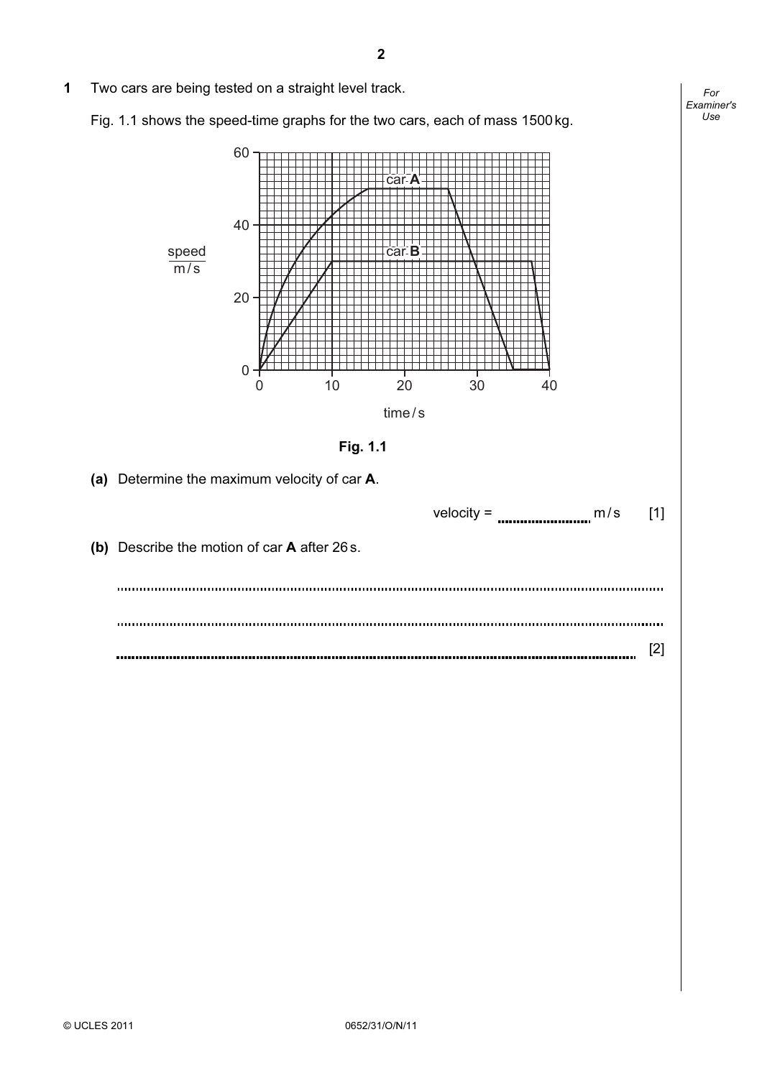For Examiner's Use

# 1 Two cars are being tested on a straight level track.

Fig. 1.1 shows the speed-time graphs for the two cars, each of mass 1500kg.

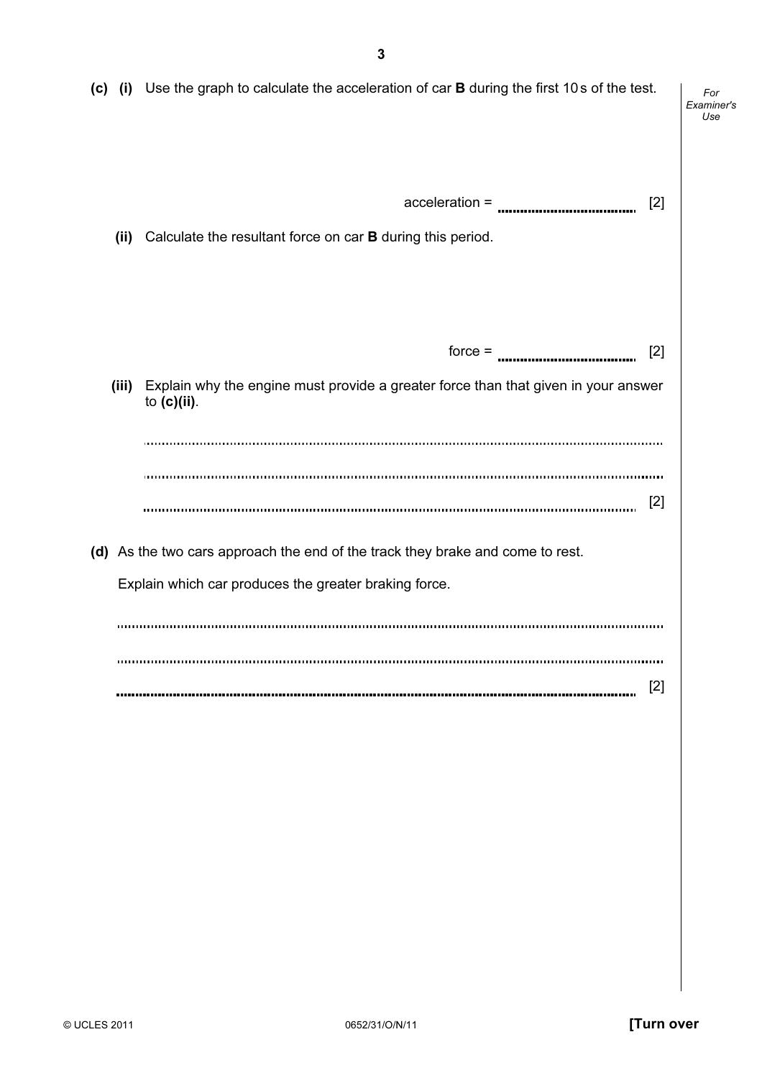|       | (c) (i) Use the graph to calculate the acceleration of car B during the first 10s of the test.                                          | For<br>Examiner's<br>Use |
|-------|-----------------------------------------------------------------------------------------------------------------------------------------|--------------------------|
|       | $acceleration =$<br>$[2]$<br>(ii) Calculate the resultant force on car B during this period.                                            |                          |
|       | $force =$<br>$[2]$                                                                                                                      |                          |
| (iii) | Explain why the engine must provide a greater force than that given in your answer<br>to $(c)(ii)$ .                                    |                          |
|       | $[2]$                                                                                                                                   |                          |
|       | (d) As the two cars approach the end of the track they brake and come to rest.<br>Explain which car produces the greater braking force. |                          |
|       |                                                                                                                                         |                          |
|       | $\lceil 2 \rceil$                                                                                                                       |                          |
|       |                                                                                                                                         |                          |
|       |                                                                                                                                         |                          |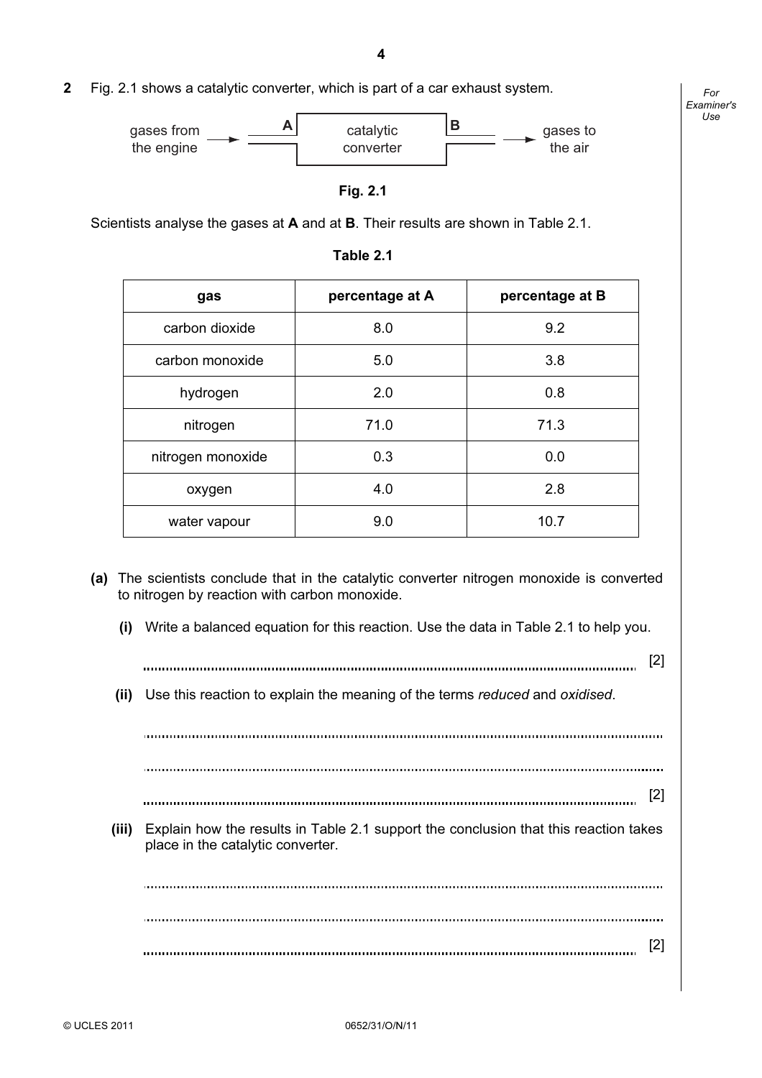2 Fig. 2.1 shows a catalytic converter, which is part of a car exhaust system.



Fig. 2.1

Scientists analyse the gases at A and at B. Their results are shown in Table 2.1.

| gas               | percentage at A | percentage at B |
|-------------------|-----------------|-----------------|
| carbon dioxide    | 8.0             | 9.2             |
| carbon monoxide   | 5.0             | 3.8             |
| hydrogen          | 2.0             | 0.8             |
| nitrogen          | 71.0            | 71.3            |
| nitrogen monoxide | 0.3             | 0.0             |
| oxygen            | 4.0             | 2.8             |
| water vapour      | 9.0             | 10.7            |

#### Table 2.1

 (a) The scientists conclude that in the catalytic converter nitrogen monoxide is converted to nitrogen by reaction with carbon monoxide.

(i) Write a balanced equation for this reaction. Use the data in Table 2.1 to help you.

[2]

(ii) Use this reaction to explain the meaning of the terms reduced and oxidised.

[2] (iii) Explain how the results in Table 2.1 support the conclusion that this reaction takes place in the catalytic converter. 

[2]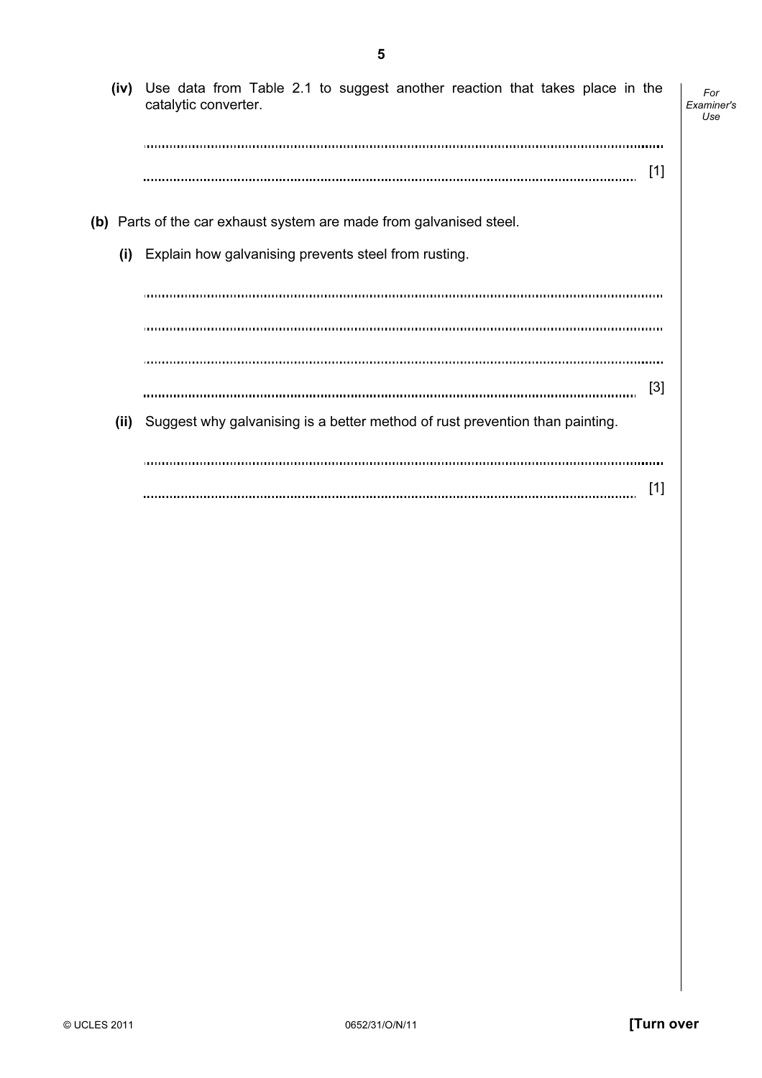(iv) Use data from Table 2.1 to suggest another reaction that takes place in the For catalytic converter. Examiner's Use [1] (b) Parts of the car exhaust system are made from galvanised steel. (i) Explain how galvanising prevents steel from rusting. [3] (ii) Suggest why galvanising is a better method of rust prevention than painting. [1]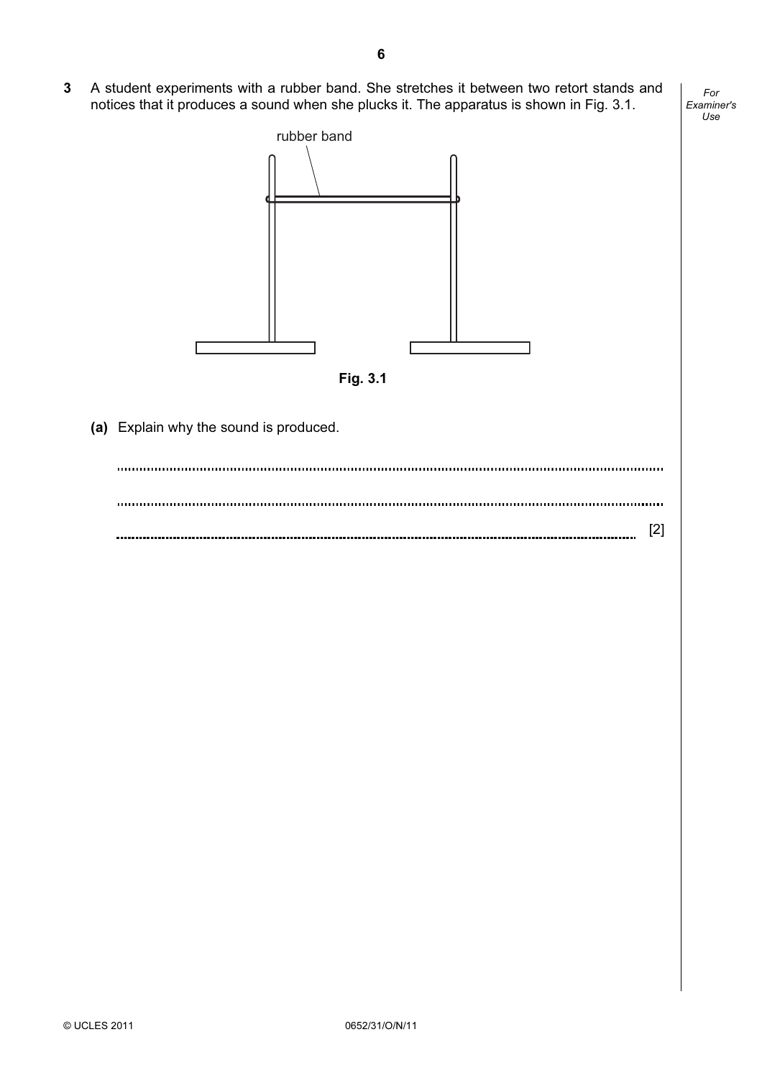3 A student experiments with a rubber band. She stretches it between two retort stands and notices that it produces a sound when she plucks it. The apparatus is shown in Fig. 3.1.





(a) Explain why the sound is produced.

..................................... [2]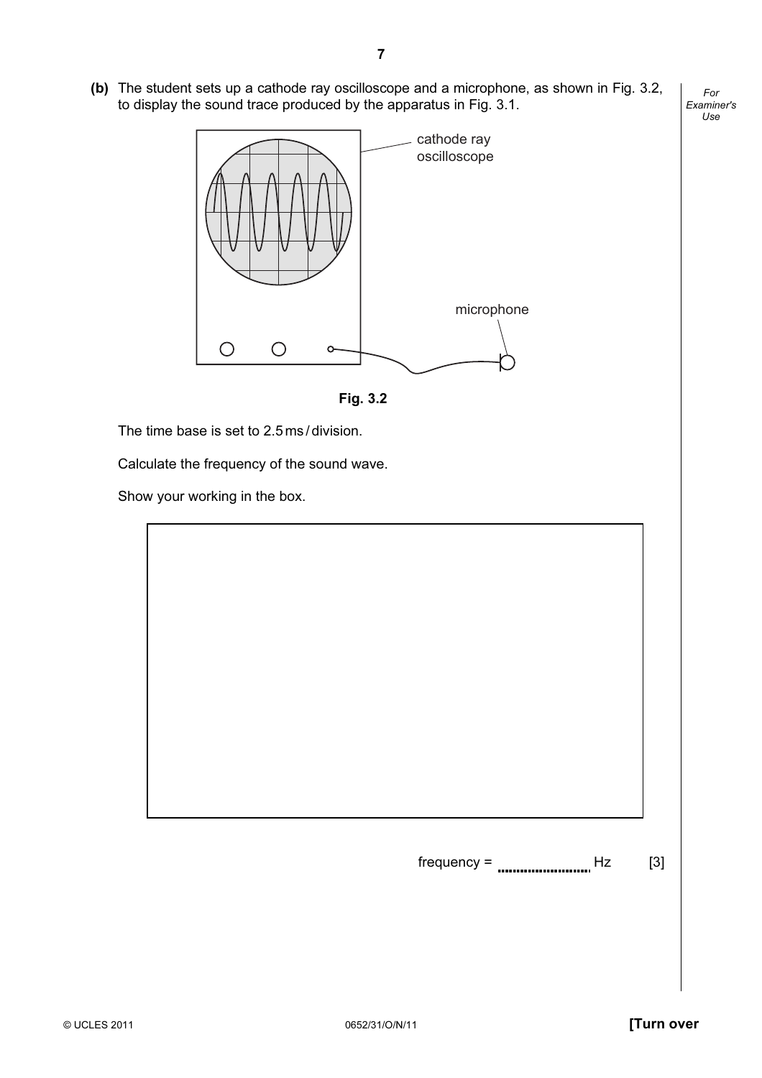(b) The student sets up a cathode ray oscilloscope and a microphone, as shown in Fig. 3.2, to display the sound trace produced by the apparatus in Fig. 3.1.

7





The time base is set to 2.5ms / division.

Calculate the frequency of the sound wave.

Show your working in the box.

 $frequency = 1$   $Hz$  [3]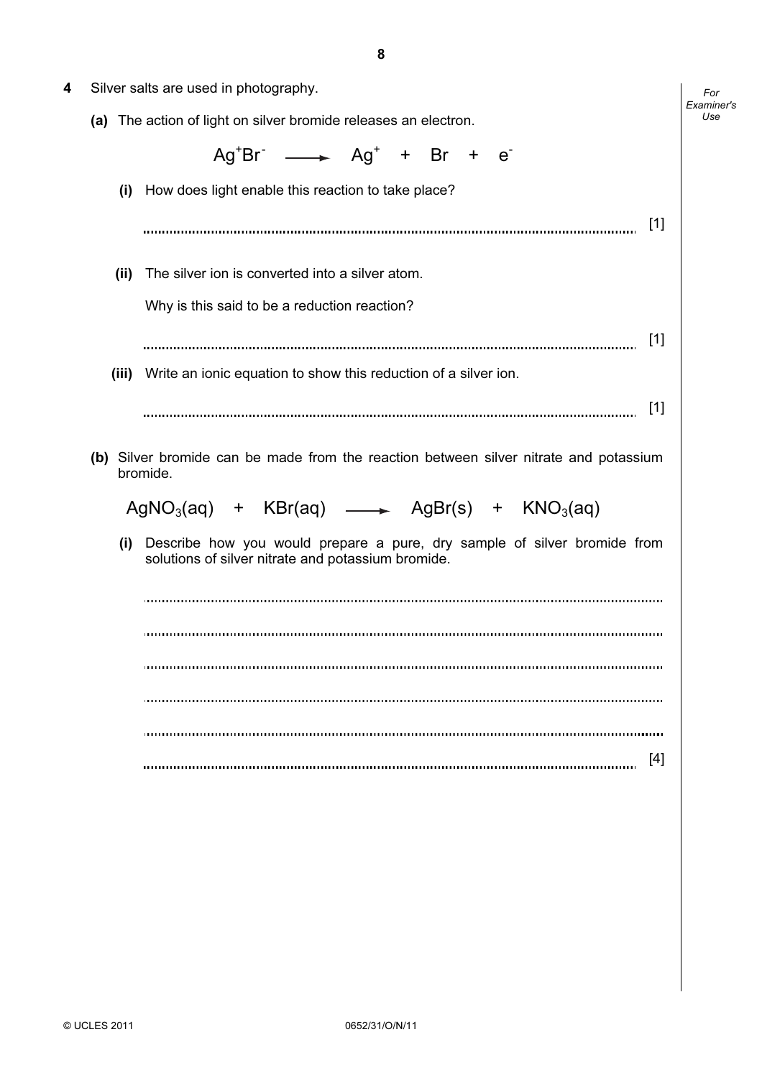| 4 |      | Silver salts are used in photography.                                                                                              | For               |
|---|------|------------------------------------------------------------------------------------------------------------------------------------|-------------------|
|   |      | (a) The action of light on silver bromide releases an electron.                                                                    | Examiner's<br>Use |
|   |      | $Ag+Br^ \longrightarrow$ $Ag+$ + Br + e <sup>-</sup>                                                                               |                   |
|   | (i)  | How does light enable this reaction to take place?                                                                                 |                   |
|   |      | $[1]$                                                                                                                              |                   |
|   | (ii) | The silver ion is converted into a silver atom.                                                                                    |                   |
|   |      | Why is this said to be a reduction reaction?                                                                                       |                   |
|   |      | $[1]$                                                                                                                              |                   |
|   |      | (iii) Write an ionic equation to show this reduction of a silver ion.                                                              |                   |
|   |      | $[1]$                                                                                                                              |                   |
|   |      | (b) Silver bromide can be made from the reaction between silver nitrate and potassium<br>bromide.                                  |                   |
|   |      | AgNO <sub>3</sub> (aq) + KBr(aq) $\longrightarrow$ AgBr(s) + KNO <sub>3</sub> (aq)                                                 |                   |
|   |      | (i) Describe how you would prepare a pure, dry sample of silver bromide from<br>solutions of silver nitrate and potassium bromide. |                   |
|   |      |                                                                                                                                    |                   |
|   |      |                                                                                                                                    |                   |
|   |      |                                                                                                                                    |                   |
|   |      |                                                                                                                                    |                   |
|   |      |                                                                                                                                    |                   |
|   |      | [4]                                                                                                                                |                   |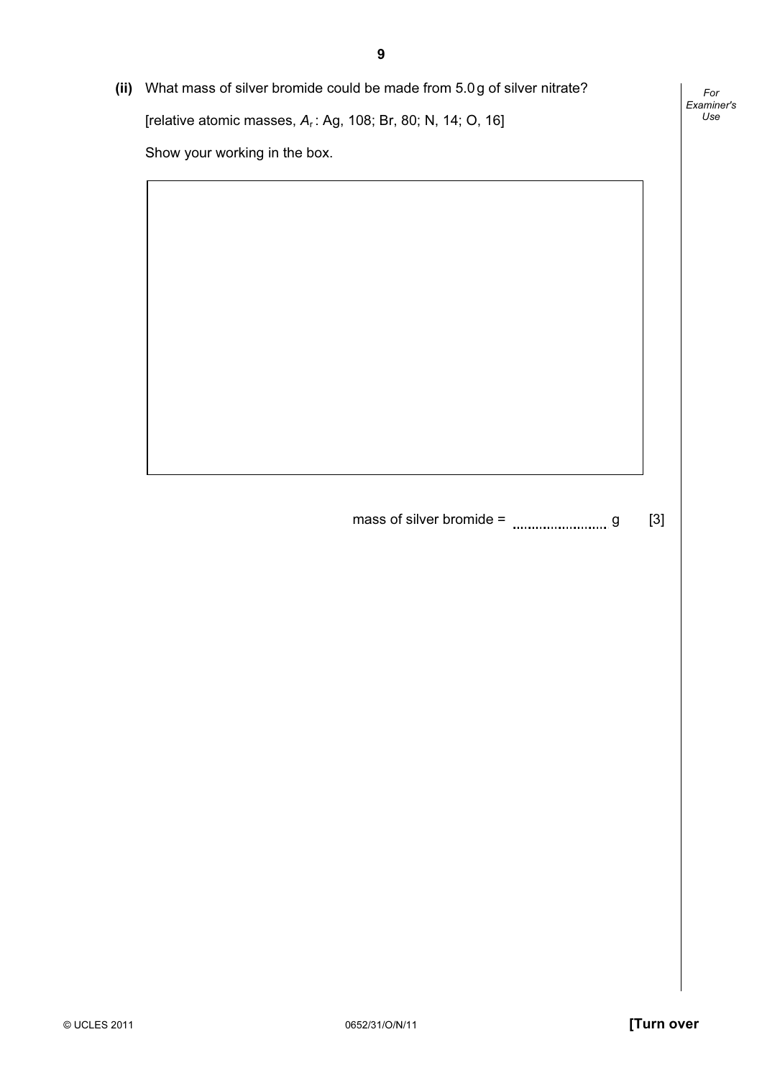(ii) What mass of silver bromide could be made from 5.0g of silver nitrate? [relative atomic masses, A<sub>r</sub>: Ag, 108; Br, 80; N, 14; O, 16] Show your working in the box.

For Examiner's Use

mass of silver bromide =  $\ldots$   $\ldots$   $\ldots$   $\ldots$   $\ldots$   $\ldots$  [3]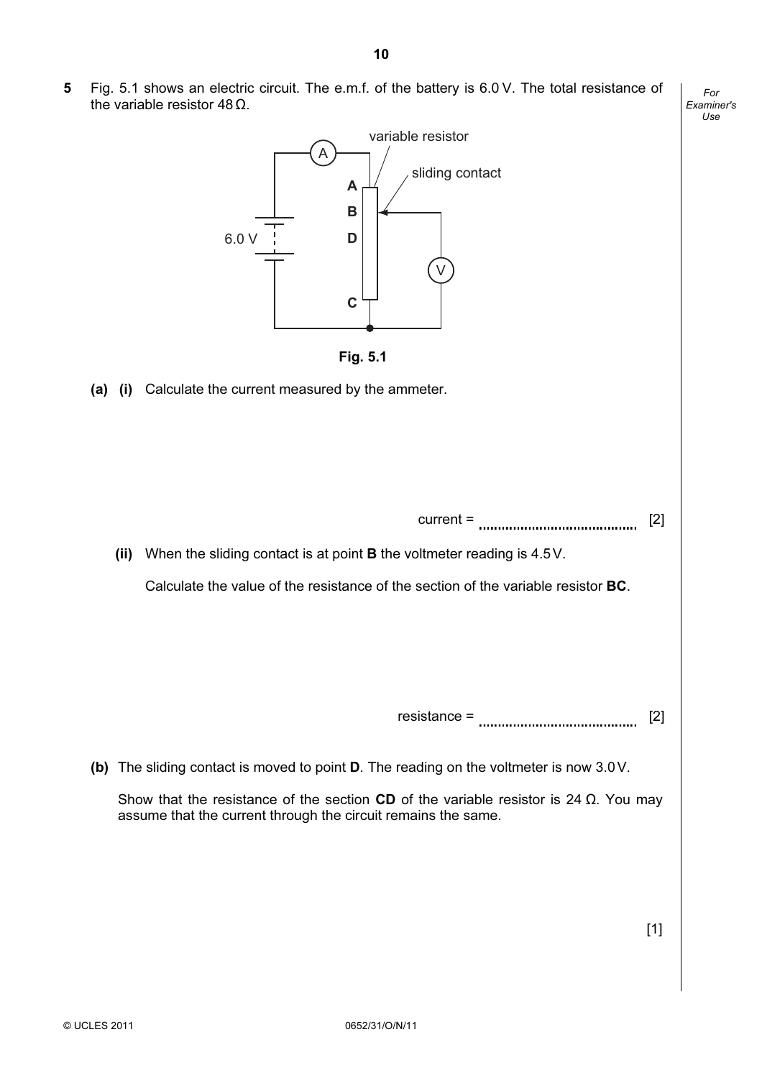Examiner's 5 Fig. 5.1 shows an electric circuit. The e.m.f. of the battery is 6.0 V. The total resistance of the variable resistor 48Ω.

10



Show that the resistance of the section CD of the variable resistor is 24  $\Omega$ . You may assume that the current through the circuit remains the same.

For

 $1$ se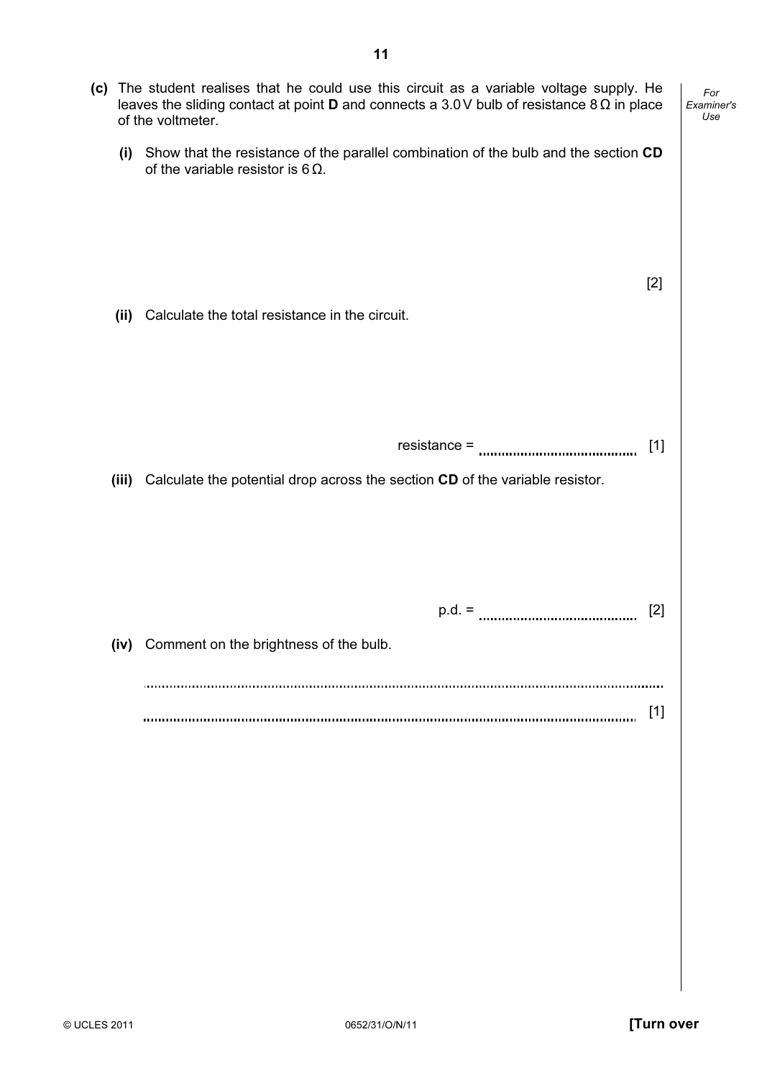For Examiner's Use

(c) The student realises that he could use this circuit as a variable voltage supply. He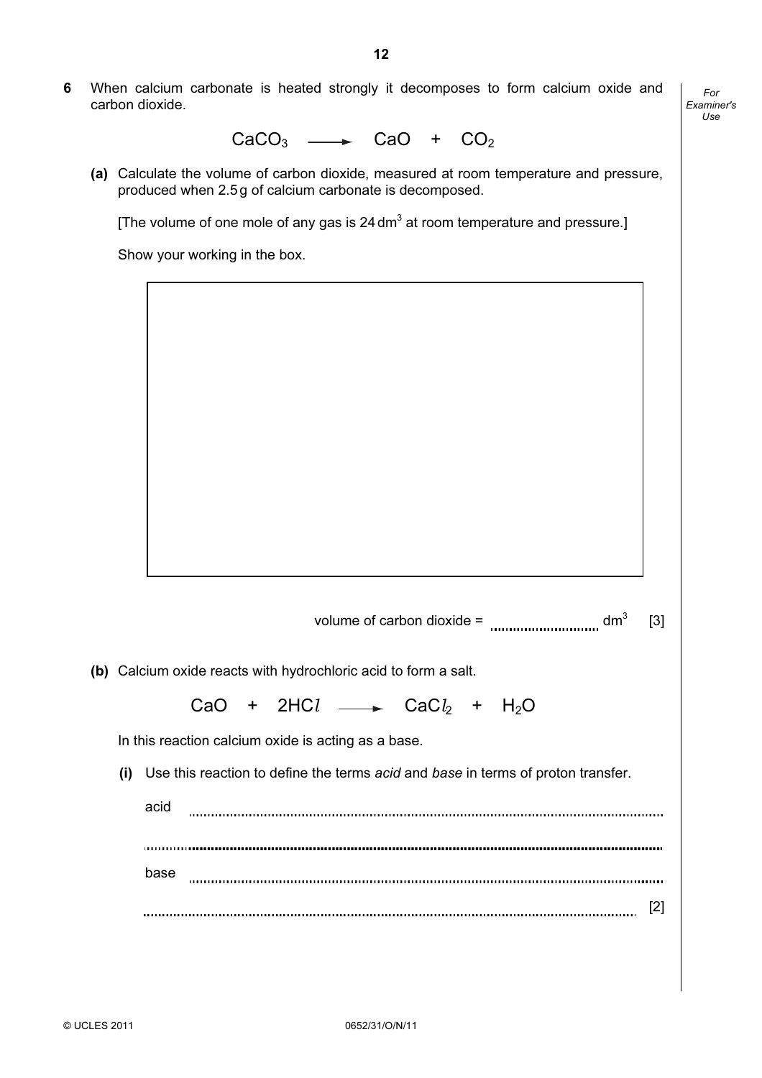6 When calcium carbonate is heated strongly it decomposes to form calcium oxide and carbon dioxide.

For Examiner's  $1$ se

 $CaCO<sub>3</sub> \longrightarrow CaO + CO<sub>2</sub>$ 

 (a) Calculate the volume of carbon dioxide, measured at room temperature and pressure, produced when 2.5g of calcium carbonate is decomposed.

[The volume of one mole of any gas is 24 dm<sup>3</sup> at room temperature and pressure.]

Show your working in the box.

volume of carbon dioxide =  $\ldots$   $\ldots$   $\ldots$   $\ldots$   $\ldots$   $\ldots$   $\ldots$   $\ldots$   $\ldots$   $\ldots$   $\ldots$   $\ldots$   $\ldots$   $\ldots$   $\ldots$ 

(b) Calcium oxide reacts with hydrochloric acid to form a salt.

CaO + 2HCl  $\longrightarrow$  CaCl<sub>2</sub> + H<sub>2</sub>O

In this reaction calcium oxide is acting as a base.

(i) Use this reaction to define the terms acid and base in terms of proton transfer.

acid ........... base [2]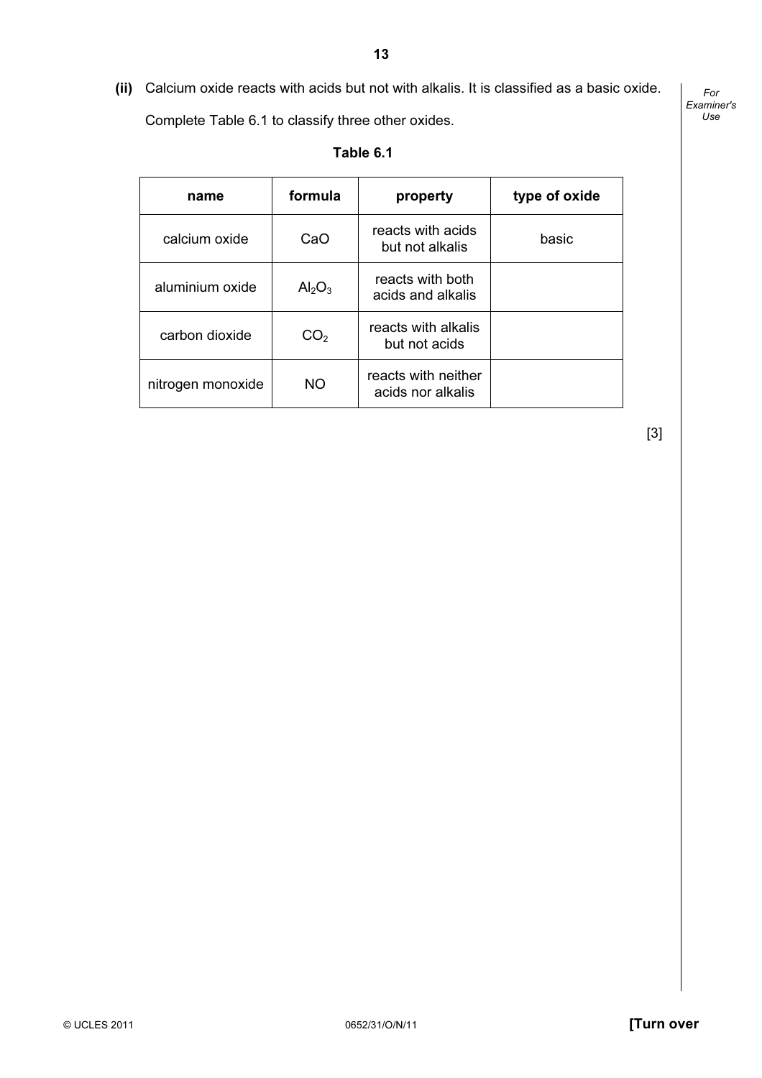(ii) Calcium oxide reacts with acids but not with alkalis. It is classified as a basic oxide. Complete Table 6.1 to classify three other oxides.

| name              | formula                        | property                                 | type of oxide |
|-------------------|--------------------------------|------------------------------------------|---------------|
| calcium oxide     | CaO                            | reacts with acids<br>but not alkalis     | basic         |
| aluminium oxide   | Al <sub>2</sub> O <sub>3</sub> | reacts with both<br>acids and alkalis    |               |
| carbon dioxide    | CO <sub>2</sub>                | reacts with alkalis<br>but not acids     |               |
| nitrogen monoxide | <b>NO</b>                      | reacts with neither<br>acids nor alkalis |               |

# Table 6.1

13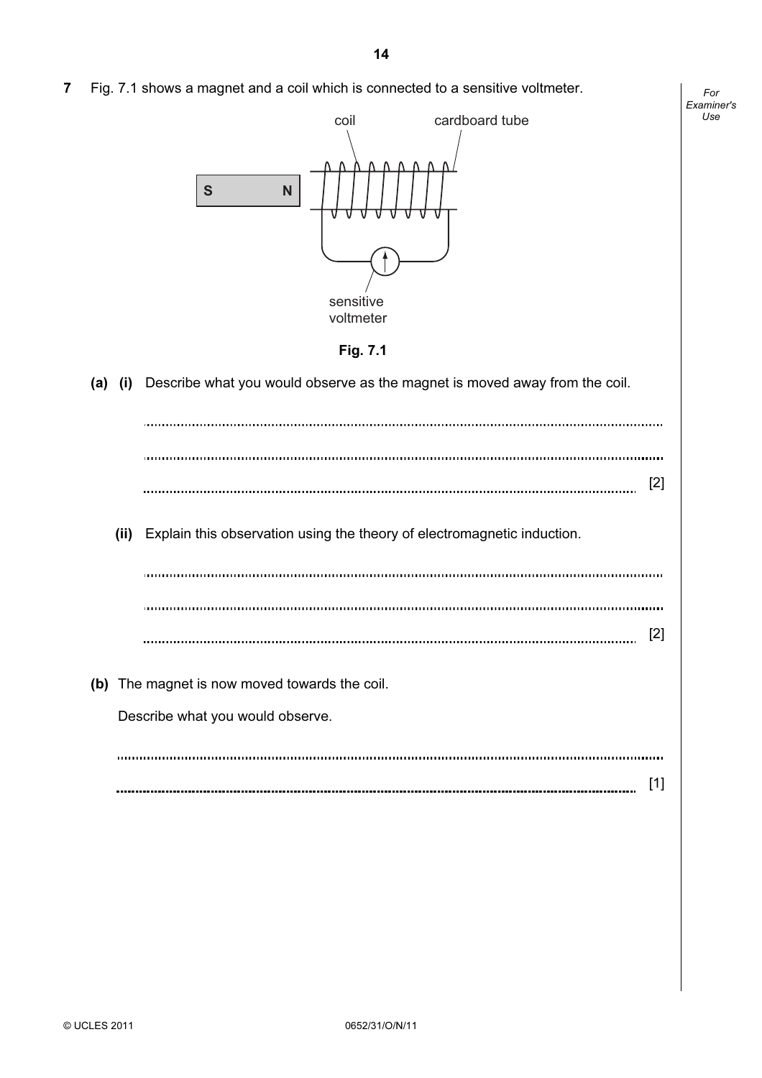7 Fig. 7.1 shows a magnet and a coil which is connected to a sensitive voltmeter.



Fig. 7.1 (a) (i) Describe what you would observe as the magnet is moved away from the coil. [2] (ii) Explain this observation using the theory of electromagnetic induction. [2]  $\cdots$  (b) The magnet is now moved towards the coil. Describe what you would observe. [1]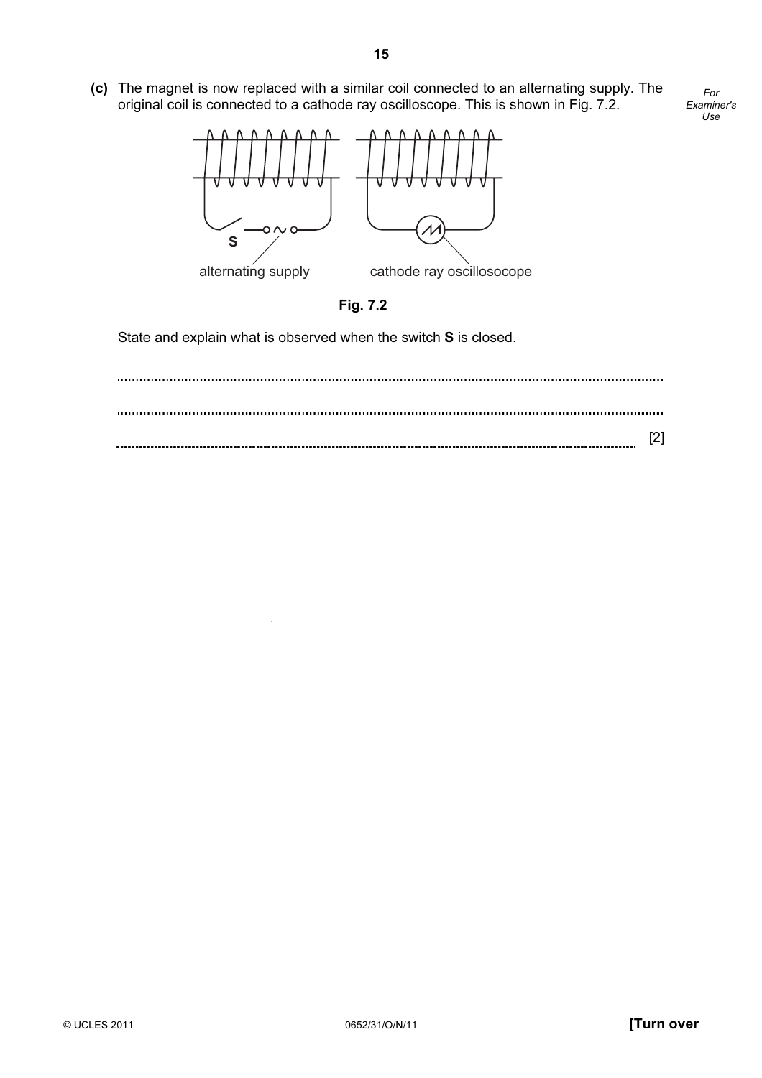(c) The magnet is now replaced with a similar coil connected to an alternating supply. The original coil is connected to a cathode ray oscilloscope. This is shown in Fig. 7.2.

15





State and explain what is observed when the switch S is closed.

[2]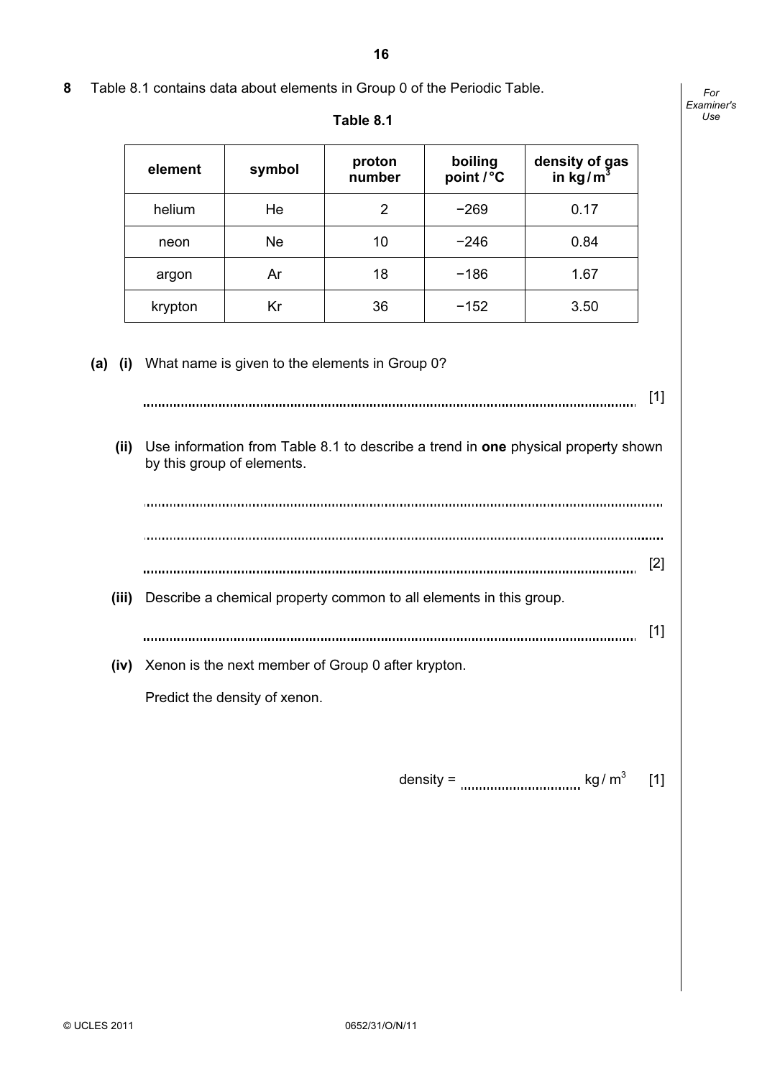8 Table 8.1 contains data about elements in Group 0 of the Periodic Table.

| element | symbol | proton<br>number | boiling<br>point /°C | density of gas<br>in $kg/m3$ |
|---------|--------|------------------|----------------------|------------------------------|
| helium  | He     | 2                | $-269$               | 0.17                         |
| neon    | Ne     | 10               | $-246$               | 0.84                         |
| argon   | Ar     | 18               | $-186$               | 1.67                         |
| krypton | Κr     | 36               | $-152$               | 3.50                         |

### Table 8.1

- (a) (i) What name is given to the elements in Group 0?
	- [1]
	- (ii) Use information from Table 8.1 to describe a trend in one physical property shown by this group of elements.

|       |                                                                    | [2] |
|-------|--------------------------------------------------------------------|-----|
| (iii) | Describe a chemical property common to all elements in this group. |     |
|       |                                                                    | [1] |
|       |                                                                    |     |
| (iv)  | Xenon is the next member of Group 0 after krypton.                 |     |
|       | Predict the density of xenon.                                      |     |
|       |                                                                    |     |

density =  $\frac{1}{2}$  kg/m<sup>3</sup> [1]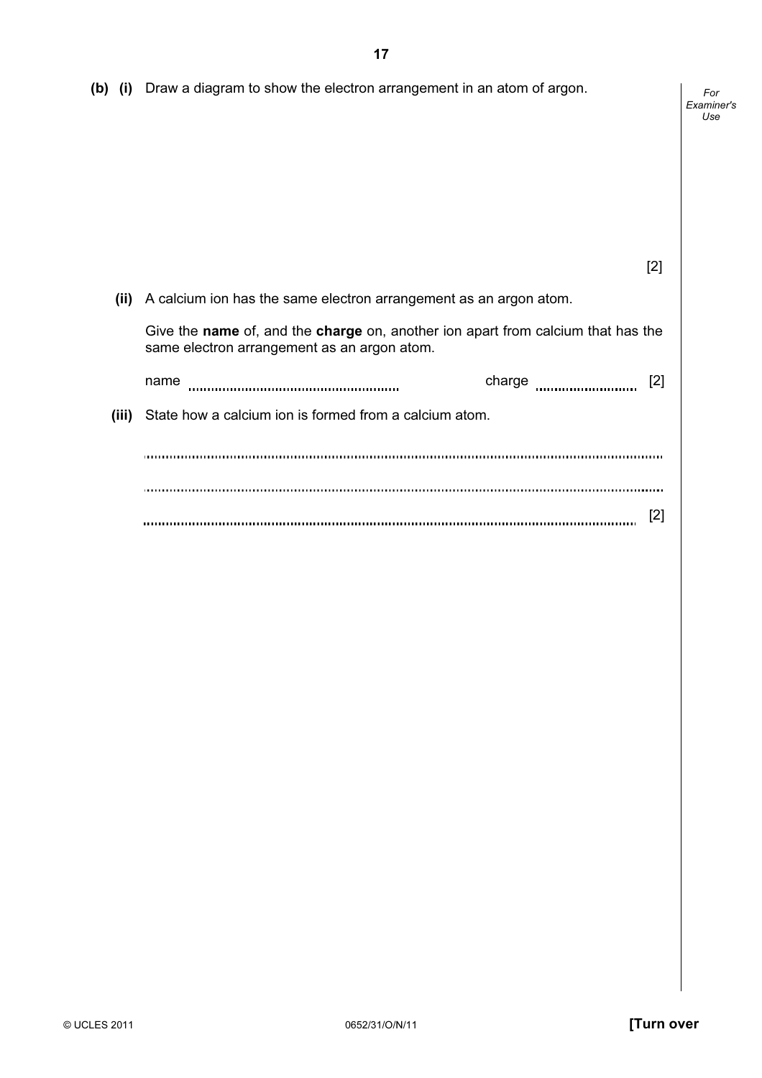|  |  |  | (b) (i) Draw a diagram to show the electron arrangement in an atom of argon. |  |
|--|--|--|------------------------------------------------------------------------------|--|
|--|--|--|------------------------------------------------------------------------------|--|

|       | $[2]$                                                                                                                           |
|-------|---------------------------------------------------------------------------------------------------------------------------------|
| (ii)  | A calcium ion has the same electron arrangement as an argon atom.                                                               |
|       | Give the name of, and the charge on, another ion apart from calcium that has the<br>same electron arrangement as an argon atom. |
|       | [2]<br>charge<br>name                                                                                                           |
| (iii) | State how a calcium ion is formed from a calcium atom.                                                                          |
|       |                                                                                                                                 |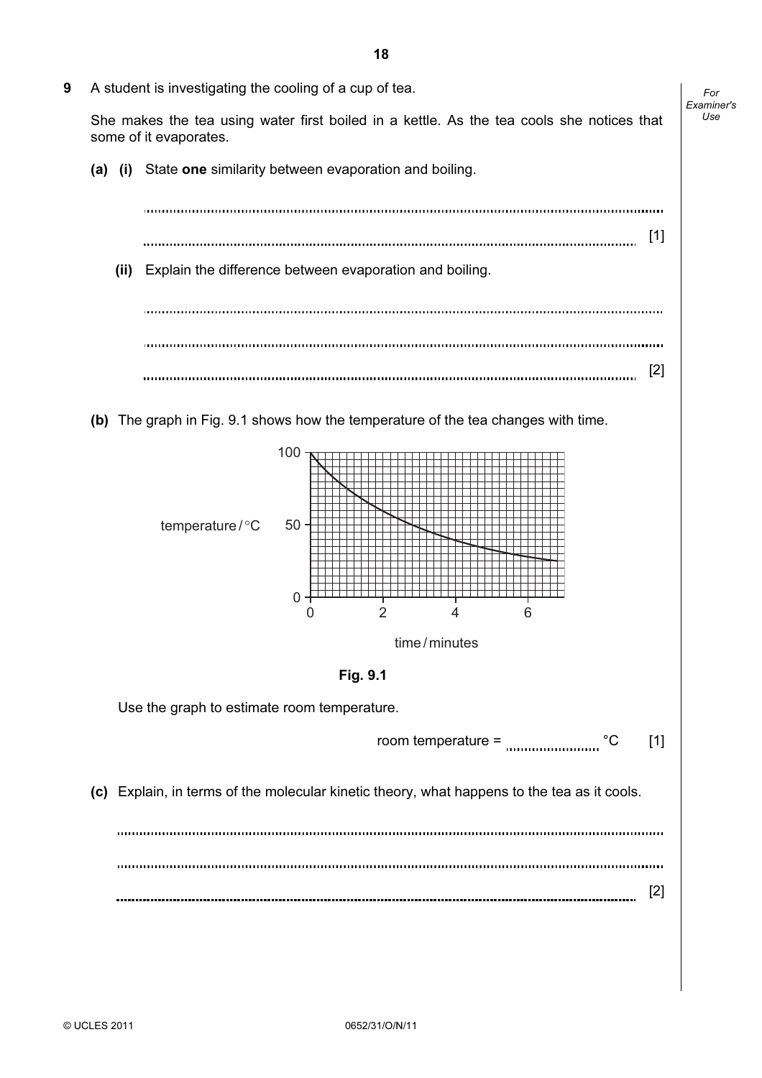

18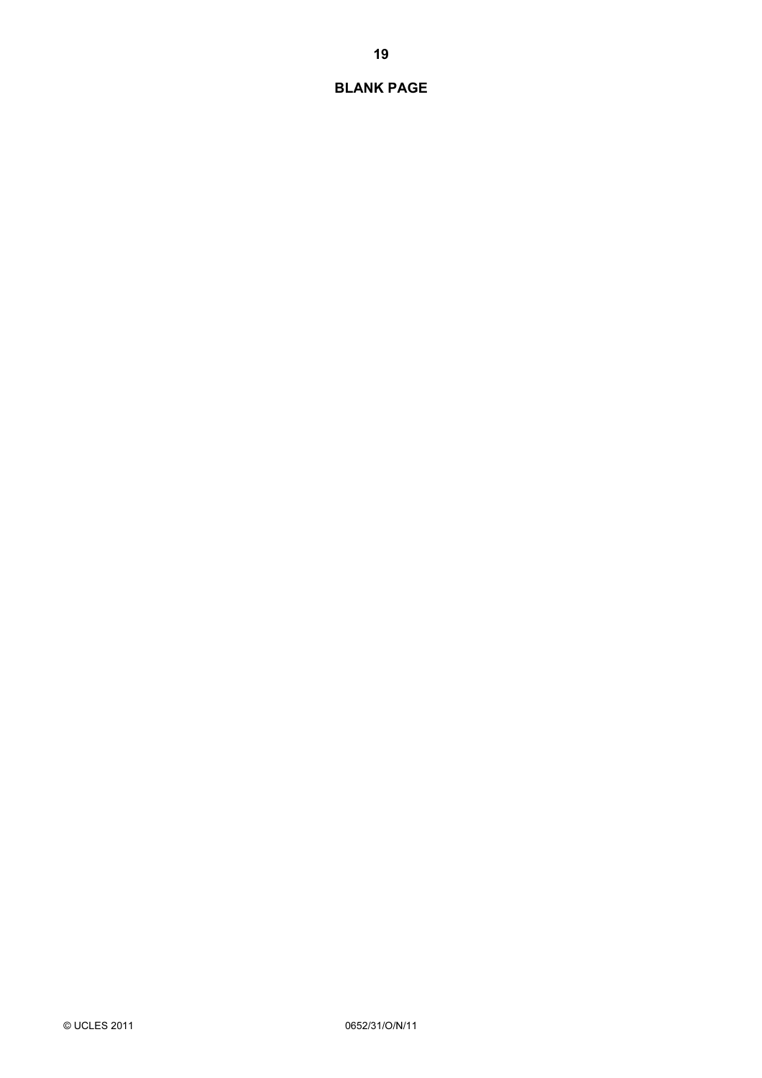## BLANK PAGE